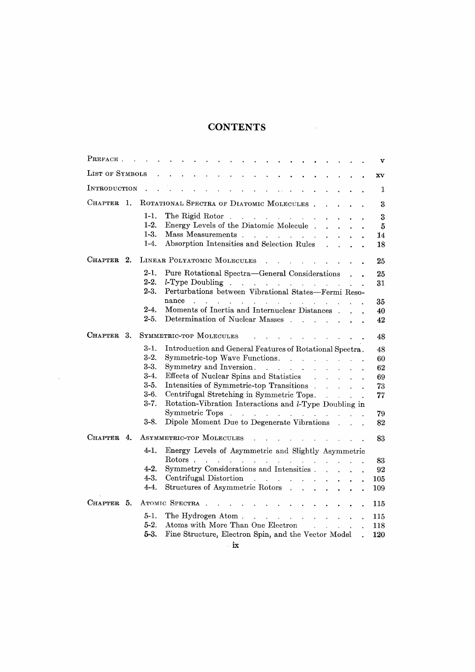## CONTENTS

| PREFACE.              | v                                                                                                                                                                                                                                                                 |
|-----------------------|-------------------------------------------------------------------------------------------------------------------------------------------------------------------------------------------------------------------------------------------------------------------|
| LIST OF SYMBOLS       | $\mathbf{X}\mathbf{V}$                                                                                                                                                                                                                                            |
| INTRODUCTION          | 1                                                                                                                                                                                                                                                                 |
| 1.<br>Chapter.        | ROTATIONAL SPECTRA OF DIATOMIC MOLECULES.<br>3                                                                                                                                                                                                                    |
| $1-1.$                | The Rigid Rotor.<br>3<br>the company of the company of                                                                                                                                                                                                            |
| $1-2.$                | Energy Levels of the Diatomic Molecule.<br>5                                                                                                                                                                                                                      |
| $1-3.$                | 14                                                                                                                                                                                                                                                                |
| $1-4.$                | Absorption Intensities and Selection Rules<br>18                                                                                                                                                                                                                  |
| CHAPTER<br>2.         | LINEAR POLYATOMIC MOLECULES<br>25                                                                                                                                                                                                                                 |
| $2-1.$                | Pure Rotational Spectra—General Considerations<br>25                                                                                                                                                                                                              |
| $2-2.$                | 31                                                                                                                                                                                                                                                                |
| $2-3.$                | Perturbations between Vibrational States-Fermi Reso-                                                                                                                                                                                                              |
|                       | nance<br>and a series of the contract of the contract of the<br>35                                                                                                                                                                                                |
| $2-4.$                | Moments of Inertia and Internuclear Distances.<br>40                                                                                                                                                                                                              |
| $2-5.$                | Determination of Nuclear Masses<br>42                                                                                                                                                                                                                             |
| <b>CHAPTER</b><br>3.  | SYMMETRIC-TOP MOLECULES<br>48                                                                                                                                                                                                                                     |
| $3-1.$                | Introduction and General Features of Rotational Spectra.                                                                                                                                                                                                          |
| $3-2.$                | 48<br>Symmetric-top Wave Functions.<br>60                                                                                                                                                                                                                         |
| $3-3.$                | Symmetry and Inversion.<br>62                                                                                                                                                                                                                                     |
| $3-4.$                | Effects of Nuclear Spins and Statistics<br>69                                                                                                                                                                                                                     |
| $3-5.$                | $\ddot{\phantom{0}}$<br>Intensities of Symmetric-top Transitions<br>73                                                                                                                                                                                            |
| $3-6.$                | $\ddot{\phantom{0}}$<br>Centrifugal Stretching in Symmetric Tops.<br>77                                                                                                                                                                                           |
| $3 - 7.$              | Rotation-Vibration Interactions and l-Type Doubling in                                                                                                                                                                                                            |
|                       | 79                                                                                                                                                                                                                                                                |
| 3-8.                  | Dipole Moment Due to Degenerate Vibrations .<br>82                                                                                                                                                                                                                |
|                       |                                                                                                                                                                                                                                                                   |
| Chapter.<br>4.        | ASYMMETRIC-TOP MOLECULES<br>83                                                                                                                                                                                                                                    |
| 4-1.                  | Energy Levels of Asymmetric and Slightly Asymmetric<br>Rotors.                                                                                                                                                                                                    |
| 4-2.                  | the contract of the contract of the contract of<br>83                                                                                                                                                                                                             |
| 4-3.                  | Symmetry Considerations and Intensities.<br>92                                                                                                                                                                                                                    |
| 4-4.                  | Centrifugal Distortion<br><b>Contract Contract</b><br>105<br><b>All Carried Carried</b>                                                                                                                                                                           |
|                       | Structures of Asymmetric Rotors .<br>109                                                                                                                                                                                                                          |
| <b>CHAPTER</b><br>-5. | ATOMIC SPECTRA<br>115                                                                                                                                                                                                                                             |
| $5-1.$                | The Hydrogen Atom.<br><u>in the series of the series of the series of the series of the series of the series of the series of the series of the series of the series of the series of the series of the series of the series of the series of the seri</u><br>115 |
| $5-2.$                | Atoms with More Than One Electron<br>118<br>and a strategic and                                                                                                                                                                                                   |
| 5-3.                  | Fine Structure, Electron Spin, and the Vector Model<br>120                                                                                                                                                                                                        |

 $\mathcal{L}^{\text{max}}_{\text{max}}$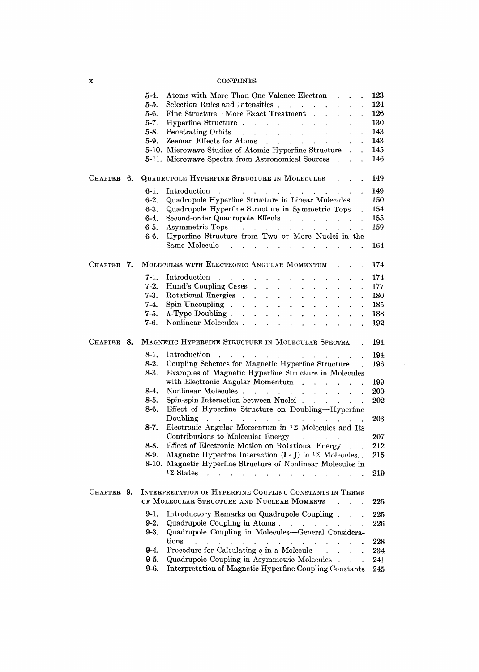## **CONTENTS**

|            |    | 5-4.     | Atoms with More Than One Valence Electron.                                                                                                                                                                                     | 123       |
|------------|----|----------|--------------------------------------------------------------------------------------------------------------------------------------------------------------------------------------------------------------------------------|-----------|
|            |    | 5-5.     | Selection Rules and Intensities<br>$\ddot{\phantom{a}}$                                                                                                                                                                        | 124       |
|            |    | 5-6.     | Fine Structure—More Exact Treatment                                                                                                                                                                                            | 126       |
|            |    | $5-7.$   | Hyperfine Structure                                                                                                                                                                                                            | 130       |
|            |    | $5-8.$   | Penetrating Orbits<br>the contract of the contract of the contract of<br>$\ddot{\phantom{0}}$                                                                                                                                  | 143       |
|            |    | 5-9.     | Zeeman Effects for Atoms<br>and a straight and a straight and                                                                                                                                                                  | 143       |
|            |    |          | 5-10. Microwave Studies of Atomic Hyperfine Structure                                                                                                                                                                          | 145       |
|            |    |          | 5-11. Microwave Spectra from Astronomical Sources<br>$\ddot{\phantom{0}}$                                                                                                                                                      | 146       |
|            |    |          |                                                                                                                                                                                                                                |           |
| Снартев    | 6. |          | QUADRUPOLE HYPERFINE STRUCTURE IN MOLECULES.                                                                                                                                                                                   | 149       |
|            |    | 6-1.     | Introduction<br>$\mathbf{r}$ , $\mathbf{r}$ , $\mathbf{r}$ , $\mathbf{r}$ , $\mathbf{r}$ , $\mathbf{r}$                                                                                                                        | 149       |
|            |    | $6-2.$   | Quadrupole Hyperfine Structure in Linear Molecules                                                                                                                                                                             | 150       |
|            |    | $6-3.$   | Quadrupole Hyperfine Structure in Symmetric Tops<br>$\ddot{\phantom{0}}$                                                                                                                                                       | 154       |
|            |    | $6-4.$   | Second-order Quadrupole Effects                                                                                                                                                                                                | 155       |
|            |    | $6-5.$   | Asymmetric Tops (a) and (b) and (b) and (b) and (b) and (b) and (b) and (b) and (b) and (b) and (b) and (b) and (b) and (b) and (b) and (b) and (b) and (b) and (b) and (b) and (b) and (b) and (b) and (b) and (b) and (b) an | 159       |
|            |    | 6-6.     | Hyperfine Structure from Two or More Nuclei in the                                                                                                                                                                             |           |
|            |    |          | Same Molecule<br>والتواصل والمتعارف المتأول والمناو                                                                                                                                                                            | 164       |
| Chapter 7. |    |          | MOLECULES WITH ELECTRONIC ANGULAR MOMENTUM                                                                                                                                                                                     | 174       |
|            |    | $7-1.$   |                                                                                                                                                                                                                                |           |
|            |    |          | Introduction<br>and the contract of the con-<br>$\sim$<br>$\mathbf{r}$ and $\mathbf{r}$ and $\mathbf{r}$                                                                                                                       | 174       |
|            |    | $7-2.$   | Hund's Coupling Cases<br>$\ddot{\phantom{0}}$                                                                                                                                                                                  | 177       |
|            |    | $7-3.$   | Rotational Energies<br>$\mathbf{z} = \mathbf{z} \mathbf{z}$ .<br>$\sim$<br>$\bullet$ .<br>$\ddot{\phantom{0}}$<br>$\ddot{\phantom{a}}$<br>$\blacksquare$                                                                       | 180       |
|            |    | 7-4.     | Spin Uncoupling<br>$\mathcal{L}^{\text{max}}$<br>$\mathcal{L}^{\text{max}}$<br>$\ddot{\phantom{0}}$<br>$\ddot{\phantom{0}}$<br>$\bullet$<br>$\ddot{\phantom{0}}$<br>$\ddot{\phantom{0}}$                                       | 185       |
|            |    | 7-5.     | $\Lambda$ -Type Doubling.<br>$\mathbf{L}$<br>$\mathbf{A}$<br>$\ddot{\phantom{a}}$<br>$\mathbf{L}$                                                                                                                              | 188       |
|            |    | 7-6.     | Nonlinear Molecules.<br>$\sim 10^{-11}$<br>$\mathbf{z} = \mathbf{z} + \mathbf{z}$ and $\mathbf{z} = \mathbf{z}$<br>$\mathbf{L}$<br>$\mathbf{r}$<br>$\mathbf{L}^{\text{max}}$                                                   | 192       |
| Снартев 8. |    |          | MAGNETIC HYPERFINE STRUCTURE IN MOLECULAR SPECTRA                                                                                                                                                                              | 194       |
|            |    |          |                                                                                                                                                                                                                                |           |
|            |    | 8-1.     | Introduction<br>$\sim$                                                                                                                                                                                                         |           |
|            |    | $8-2.$   | and a state<br>$\mathbf{r} = \mathbf{r} \times \mathbf{r}$ , where $\mathbf{r} = \mathbf{r} \times \mathbf{r}$ , where $\mathbf{r} = \mathbf{r} \times \mathbf{r}$                                                             | 194       |
|            |    | $8-3.$   | Coupling Schemes for Magnetic Hyperfine Structure<br>Examples of Magnetic Hyperfine Structure in Molecules                                                                                                                     | 196       |
|            |    |          | with Electronic Angular Momentum                                                                                                                                                                                               | 199       |
|            |    | 8-4.     | Nonlinear Molecules                                                                                                                                                                                                            | 200       |
|            |    | 8-5.     | Spin-spin Interaction between Nuclei                                                                                                                                                                                           | 202       |
|            |    | 8-6.     | Effect of Hyperfine Structure on Doubling-Hyperfine                                                                                                                                                                            |           |
|            |    |          | Doubling<br>and a series of the companion of the series of the                                                                                                                                                                 | 203       |
|            |    | 8-7.     | Electronic Angular Momentum in $12$ Molecules and Its                                                                                                                                                                          |           |
|            |    |          | Contributions to Molecular Energy.<br><b>Contract Contract Contract Contract</b>                                                                                                                                               | 207       |
|            |    | 8-8.     | Effect of Electronic Motion on Rotational Energy                                                                                                                                                                               | 212       |
|            |    | $8-9.$   | Magnetic Hyperfine Interaction $(I \cdot J)$ in $12$ Molecules.                                                                                                                                                                | 215       |
|            |    |          | 8-10. Magnetic Hyperfine Structure of Nonlinear Molecules in<br>$1\Sigma$ States                                                                                                                                               |           |
|            |    |          |                                                                                                                                                                                                                                | 219       |
| CHAPTER 9. |    |          | INTERPRETATION OF HYPERFINE COUPLING CONSTANTS IN TERMS                                                                                                                                                                        |           |
|            |    |          | OF MOLECULAR STRUCTURE AND NUCLEAR MOMENTS                                                                                                                                                                                     | 225       |
|            |    | 9-1.     | Introductory Remarks on Quadrupole Coupling.                                                                                                                                                                                   | 225       |
|            |    | $9 - 2.$ | Quadrupole Coupling in Atoms.<br><b>Service</b>                                                                                                                                                                                | $\rm 226$ |
|            |    | $9 - 3.$ | Quadrupole Coupling in Molecules-General Considera-                                                                                                                                                                            |           |
|            |    |          | tions                                                                                                                                                                                                                          | 228       |
|            |    | 9-4.     | Procedure for Calculating $q$ in a Molecule                                                                                                                                                                                    | 234       |
|            |    | 9-5.     | Quadrupole Coupling in Asymmetric Molecules<br>$\ddot{\phantom{a}}$<br>$\ddot{\phantom{a}}$<br>$\ddot{\phantom{0}}$                                                                                                            | 241       |
|            |    | 9-6.     | Interpretation of Magnetic Hyperfine Coupling Constants                                                                                                                                                                        | 245       |

 $\mathcal{L}^{\text{max}}_{\text{max}}$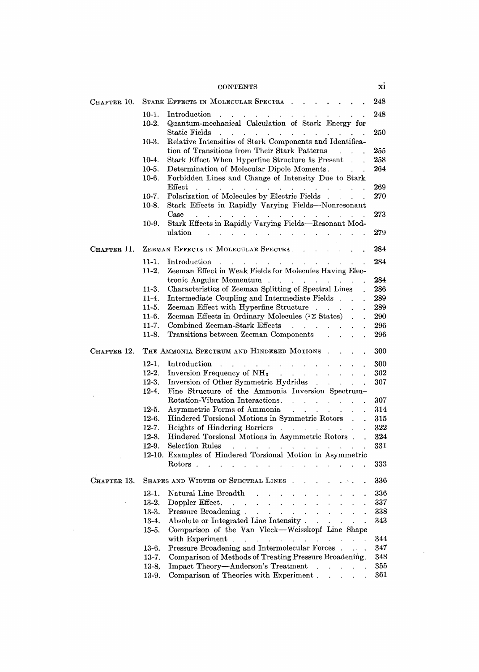|             | <b>CONTENTS</b>                                                                                                                                                                                                                                                                                                               | X1  |
|-------------|-------------------------------------------------------------------------------------------------------------------------------------------------------------------------------------------------------------------------------------------------------------------------------------------------------------------------------|-----|
| CHAPTER 10. | STARK EFFECTS IN MOLECULAR SPECTRA                                                                                                                                                                                                                                                                                            | 248 |
|             | Introduction<br>$10-1.$<br>Quantum-mechanical Calculation of Stark Energy for<br>$10-2.$                                                                                                                                                                                                                                      | 248 |
|             | Static Fields<br>Relative Intensities of Stark Components and Identifica-<br>$10-3.$                                                                                                                                                                                                                                          | 250 |
|             | tion of Transitions from Their Stark Patterns                                                                                                                                                                                                                                                                                 | 255 |
|             | Stark Effect When Hyperfine Structure Is Present.<br>$10-4.$                                                                                                                                                                                                                                                                  | 258 |
|             | $10-5.$<br>Determination of Molecular Dipole Moments.<br>$\mathbb{R}^n$ . The set of $\mathbb{R}^n$                                                                                                                                                                                                                           | 264 |
|             | Forbidden Lines and Change of Intensity Due to Stark<br>$10-6.$<br>$\rm Effect$<br>and a series of the contract of the contract of the contract of                                                                                                                                                                            | 269 |
|             | Polarization of Molecules by Electric Fields<br>$10-7.$                                                                                                                                                                                                                                                                       | 270 |
|             | $10-8.$<br>Stark Effects in Rapidly Varying Fields—Nonresonant<br>Case                                                                                                                                                                                                                                                        |     |
|             | the contract of the contract of the contract of the contract of<br>Stark Effects in Rapidly Varying Fields-Resonant Mod-<br>10-9.                                                                                                                                                                                             | 273 |
|             | ulation<br>the control of the control of the control of the control of the control of the control of                                                                                                                                                                                                                          | 279 |
| CHAPTER 11. | ZEEMAN EFFECTS IN MOLECULAR SPECTRA.                                                                                                                                                                                                                                                                                          | 284 |
|             | and the company of the company of the company of the company of the company of the company of the company of the company of the company of the company of the company of the company of the company of the company of the comp<br>11-1.<br>Introduction<br>Zeeman Effect in Weak Fields for Molecules Having Elec-<br>$11-2.$ | 284 |
|             | tronic Angular Momentum                                                                                                                                                                                                                                                                                                       |     |
|             | Characteristics of Zeeman Splitting of Spectral Lines                                                                                                                                                                                                                                                                         | 284 |
|             | $11-3.$                                                                                                                                                                                                                                                                                                                       | 286 |
|             | Intermediate Coupling and Intermediate Fields<br>$11-4.$<br>$\ddot{\phantom{0}}$                                                                                                                                                                                                                                              | 289 |
|             | $11-5.$<br>Zeeman Effect with Hyperfine Structure                                                                                                                                                                                                                                                                             | 289 |
|             | Zeeman Effects in Ordinary Molecules $(12 \text{ States})$ .<br>$11-6.$<br>$\ddot{\phantom{0}}$                                                                                                                                                                                                                               | 290 |
|             | Combined Zeeman-Stark Effects<br>$11-7.$                                                                                                                                                                                                                                                                                      | 296 |
|             | $11-8.$<br>Transitions between Zeeman Components                                                                                                                                                                                                                                                                              | 296 |
| CHAPTER 12. | THE AMMONIA SPECTRUM AND HINDERED MOTIONS.                                                                                                                                                                                                                                                                                    | 300 |
|             | $12-1.$                                                                                                                                                                                                                                                                                                                       | 300 |
|             | $12 - 2.$<br>Inversion Frequency of $NH_3$ , ,                                                                                                                                                                                                                                                                                | 302 |
|             | $12-3.$<br>Inversion of Other Symmetric Hydrides<br>$\ddot{\phantom{0}}$                                                                                                                                                                                                                                                      | 307 |
|             | Fine Structure of the Ammonia Inversion Spectrum-<br>$12 - 4.$                                                                                                                                                                                                                                                                |     |
|             | Rotation-Vibration Interactions.<br>$\ddot{\phantom{a}}$                                                                                                                                                                                                                                                                      | 307 |
|             | Asymmetric Forms of Ammonia<br>$12-5.$<br>$\ddot{\phantom{a}}$                                                                                                                                                                                                                                                                | 314 |
|             | $12-6.$<br>Hindered Torsional Motions in Symmetric Rotors.                                                                                                                                                                                                                                                                    | 315 |
|             | $12-7.$<br>Heights of Hindering Barriers<br>$\mathbb{Z}^2$                                                                                                                                                                                                                                                                    | 322 |
|             | Hindered Torsional Motions in Asymmetric Rotors<br>$12-8.$                                                                                                                                                                                                                                                                    | 324 |
|             | Selection Rules<br>$12-9.$                                                                                                                                                                                                                                                                                                    | 331 |
|             | 12-10. Examples of Hindered Torsional Motion in Asymmetric                                                                                                                                                                                                                                                                    |     |
|             | Rotors.<br>and the company of the company of the company of the company of the company of the company of the company of the company of the company of the company of the company of the company of the company of the company of the comp                                                                                     | 333 |
| Снартев 13. | SHAPES AND WIDTHS OF SPECTRAL LINES                                                                                                                                                                                                                                                                                           | 336 |
|             | $13-1.$<br>Natural Line Breadth                                                                                                                                                                                                                                                                                               | 336 |
|             | $13-2.$<br>Doppler Effect.<br>$\Delta$<br>$\ddot{\phantom{a}}$<br>$\ddot{\phantom{a}}$<br>$\cdot$                                                                                                                                                                                                                             | 337 |
|             | $13-3.$<br>Pressure Broadening.<br><b>All Contracts</b><br>$\mathcal{L}^{\text{max}}$                                                                                                                                                                                                                                         | 338 |
|             | Absolute or Integrated Line Intensity.<br>$13-4.$<br>and the company<br>Comparison of the Van Vleck-Weisskopf Line Shape<br>$13-5.$                                                                                                                                                                                           | 343 |
|             | with Experiment.<br>the contract of the contract of the con-                                                                                                                                                                                                                                                                  | 344 |
|             | Pressure Broadening and Intermolecular Forces.<br>13-6.<br>$\mathcal{L}(\mathcal{L})$ .                                                                                                                                                                                                                                       | 347 |
|             | Comparison of Methods of Treating Pressure Broadening.<br>$13-7.$                                                                                                                                                                                                                                                             | 348 |
|             | Impact Theory-Anderson's Treatment<br>$13-8.$<br>and a strategic con-                                                                                                                                                                                                                                                         | 355 |
|             | Comparison of Theories with Experiment.<br>13-9.<br><b>Carl Carl Carl Control</b>                                                                                                                                                                                                                                             | 361 |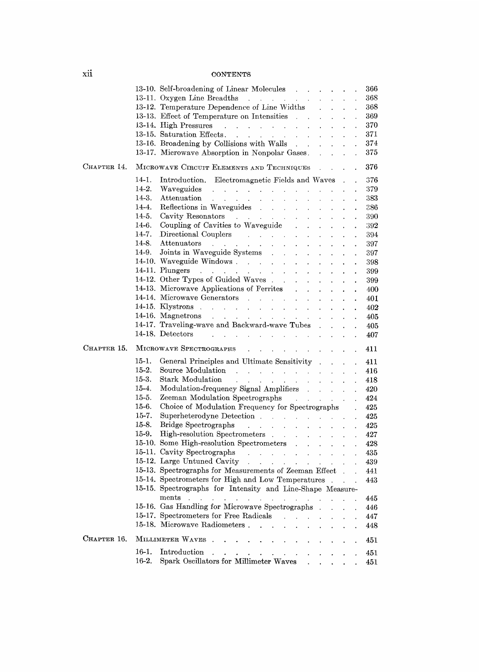## **CONTENTS**

|             | 13-10. Self-broadening of Linear Molecules<br>366                                                                                                                                                                                                                                                                                     |
|-------------|---------------------------------------------------------------------------------------------------------------------------------------------------------------------------------------------------------------------------------------------------------------------------------------------------------------------------------------|
|             | 368<br>13-11. Oxygen Line Breadths                                                                                                                                                                                                                                                                                                    |
|             | 13-12. Temperature Dependence of Line Widths .<br>368                                                                                                                                                                                                                                                                                 |
|             | 13-13. Effect of Temperature on Intensities<br>369<br>$\mathbf{A}^{\text{max}}$                                                                                                                                                                                                                                                       |
|             | 370<br>13-14. High Pressures<br>$\mathcal{A}$ is a set of the set of the set of the set of $\mathcal{A}$<br>$\mathbf{r}$<br>$\ddot{\phantom{0}}$                                                                                                                                                                                      |
|             | 13-15. Saturation Effects.<br>371                                                                                                                                                                                                                                                                                                     |
|             | 374<br>13-16. Broadening by Collisions with Walls<br>$\sim$                                                                                                                                                                                                                                                                           |
|             | 375<br>13-17. Microwave Absorption in Nonpolar Gases.<br>$\ddot{\phantom{a}}$                                                                                                                                                                                                                                                         |
| CHAPTER 14. | 376<br>MICROWAVE CIRCUIT ELEMENTS AND TECHNIQUES                                                                                                                                                                                                                                                                                      |
|             | 14-1.<br>Introduction. Electromagnetic Fields and Waves .<br>376                                                                                                                                                                                                                                                                      |
|             | 14-2.<br>379                                                                                                                                                                                                                                                                                                                          |
|             | 14-3.<br>Attenuation<br>383<br>and the state of the state of<br>$\mathbf{r}$<br>$\sim$<br>$\sim 10^{-1}$                                                                                                                                                                                                                              |
|             | Reflections in Waveguides<br>14-4.<br>386<br>$\mathbf{r} = \mathbf{r}$<br>$\ddot{\phantom{0}}$                                                                                                                                                                                                                                        |
|             | 14-5.<br>Cavity Resonators<br>390                                                                                                                                                                                                                                                                                                     |
|             | Coupling of Cavities to Waveguide<br>14-6.<br>392<br>$\mathbf{L}$                                                                                                                                                                                                                                                                     |
|             | 14-7.<br>Directional Couplers Processes and Security Assembly Processes and Security Assembly Directional Couplers and Assembly Directional Couplers and Assembly Direction of the United States of the United States and Assembly Dire<br>394<br>$\mathcal{L}$<br>$\mathbf{r}$<br>$\ddot{\phantom{0}}$<br>$\ddot{\phantom{0}}$<br>ä, |
|             | Attenuators<br>14-8.<br>$\mathcal{L}(\mathcal{L}^{\mathcal{L}}(\mathcal{L}^{\mathcal{L}}(\mathcal{L}^{\mathcal{L}}(\mathcal{L}^{\mathcal{L}}(\mathcal{L}^{\mathcal{L}}(\mathcal{L}^{\mathcal{L}}(\mathcal{L}^{\mathcal{L}}(\mathcal{L}^{\mathcal{L}}(\mathcal{L}^{\mathcal{L}}(\mathcal{L}^{\mathcal{L}})))$<br>397                   |
|             | 14-9.<br>Joints in Waveguide Systems<br>397<br>$\sim$ 10 $\pm$                                                                                                                                                                                                                                                                        |
|             | 14-10. Waveguide Windows<br>398                                                                                                                                                                                                                                                                                                       |
|             | $\mathbf{v}$<br>$\ddot{\phantom{1}}$<br>14-11. Plungers $\ldots$ $\ldots$ $\ldots$                                                                                                                                                                                                                                                    |
|             | 399                                                                                                                                                                                                                                                                                                                                   |
|             | 14-12. Other Types of Guided Waves<br>399<br>$\mathbf{A}^{\mathrm{max}}$<br>$\mathbf{L}^{\text{max}}$                                                                                                                                                                                                                                 |
|             | 14-13. Microwave Applications of Ferrites<br>400<br>$\mathbf{r}$<br>$\ddot{\phantom{0}}$<br>$\ddot{\phantom{a}}$<br>$\ddot{\phantom{0}}$                                                                                                                                                                                              |
|             | 401                                                                                                                                                                                                                                                                                                                                   |
|             | $14-15.$ Klystrons $\ldots$ $\ldots$ $\ldots$<br>402                                                                                                                                                                                                                                                                                  |
|             | 14-16. Magnetrons $\ldots$ $\ldots$ $\ldots$ $\ldots$<br>405<br>$\ddot{\phantom{0}}$                                                                                                                                                                                                                                                  |
|             | 14-17. Traveling-wave and Backward-wave Tubes.<br>405                                                                                                                                                                                                                                                                                 |
|             | 14-18. Detectors<br>$\mathcal{L}^{\mathcal{L}}$ . The set of the set of the set of the set of the set of the $\mathcal{L}^{\mathcal{L}}$<br>407                                                                                                                                                                                       |
| CHAPTER 15. | MICROWAVE SPECTROGRAPHS<br>411                                                                                                                                                                                                                                                                                                        |
|             | $15-1.$<br>General Principles and Ultimate Sensitivity<br>411                                                                                                                                                                                                                                                                         |
|             | $15-2.$<br>416<br>$\ddot{\phantom{0}}$                                                                                                                                                                                                                                                                                                |
|             | $15-3.$<br>Stark Modulation<br>418                                                                                                                                                                                                                                                                                                    |
|             | 15-4.<br>Modulation-frequency Signal Amplifiers<br>420<br>$\ddot{\phantom{0}}$                                                                                                                                                                                                                                                        |
|             | $15-5.$<br>424<br>$\hat{\boldsymbol{\epsilon}}$                                                                                                                                                                                                                                                                                       |
|             | $15-6.$<br>Choice of Modulation Frequency for Spectrographs<br>425                                                                                                                                                                                                                                                                    |
|             | $15 - 7.$<br>425<br>$\ddot{\phantom{a}}$                                                                                                                                                                                                                                                                                              |
|             | 15-8.<br>Bridge Spectrographs and a series of the series of the series of the series of the series of the series of the series of the series of the series of the series of the series of the series of the series of the series of the<br>425<br>t,                                                                                  |
|             | 15-9.<br>High-resolution Spectrometers<br>427<br>$\mathcal{L}^{\text{max}}$ and $\mathcal{L}^{\text{max}}$<br>$\mathcal{L}^{\text{max}}$ and $\mathcal{L}^{\text{max}}$                                                                                                                                                               |
|             | 15-10. Some High-resolution Spectrometers<br>428                                                                                                                                                                                                                                                                                      |
|             | $\ddot{\phantom{a}}$                                                                                                                                                                                                                                                                                                                  |
|             | 435<br>$\ddot{\phantom{a}}$                                                                                                                                                                                                                                                                                                           |
|             | 15-12. Large Untuned Cavity<br>439                                                                                                                                                                                                                                                                                                    |
|             | 15-13. Spectrographs for Measurements of Zeeman Effect.<br>441                                                                                                                                                                                                                                                                        |
|             | 15-14. Spectrometers for High and Low Temperatures<br>443                                                                                                                                                                                                                                                                             |
|             | 15-15. Spectrographs for Intensity and Line-Shape Measure-                                                                                                                                                                                                                                                                            |
|             | ments<br>445<br>and the company<br>the contract of the contract of the                                                                                                                                                                                                                                                                |
|             | 15-16. Gas Handling for Microwave Spectrographs<br>446                                                                                                                                                                                                                                                                                |
|             | 15-17. Spectrometers for Free Radicals<br>447<br>$\mathbf{r}$                                                                                                                                                                                                                                                                         |
|             | 15-18. Microwave Radiometers.<br>448<br>$\ddot{\phantom{a}}$<br>$\sim$                                                                                                                                                                                                                                                                |
| CHAPTER 16. | MILLIMETER WAVES<br>$\ddot{\phantom{a}}$<br>451<br>$\ddot{\phantom{a}}$<br>$\cdot$                                                                                                                                                                                                                                                    |
|             | 16-1.<br>Introduction<br>451<br>$\mathbf{a}$ .                                                                                                                                                                                                                                                                                        |
|             | $16-2.$<br>Spark Oscillators for Millimeter Waves<br>451                                                                                                                                                                                                                                                                              |